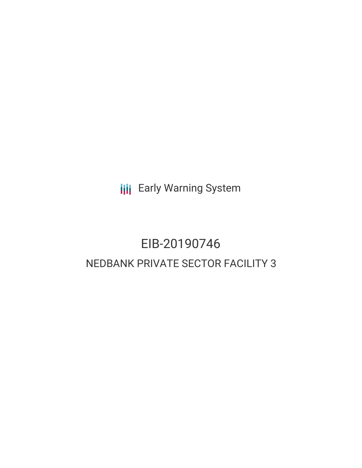**III** Early Warning System

# EIB-20190746 NEDBANK PRIVATE SECTOR FACILITY 3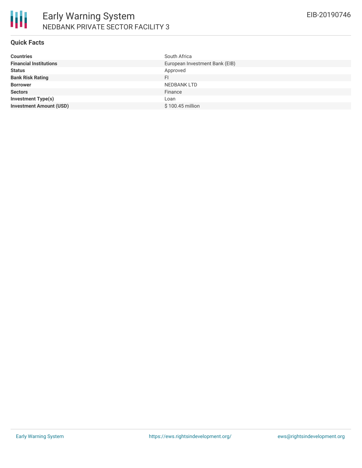

#### **Quick Facts**

| <b>Countries</b>               | South Africa                   |
|--------------------------------|--------------------------------|
| <b>Financial Institutions</b>  | European Investment Bank (EIB) |
| <b>Status</b>                  | Approved                       |
| <b>Bank Risk Rating</b>        | FI                             |
| <b>Borrower</b>                | NEDBANK LTD                    |
| <b>Sectors</b>                 | Finance                        |
| <b>Investment Type(s)</b>      | Loan                           |
| <b>Investment Amount (USD)</b> | \$100.45 million               |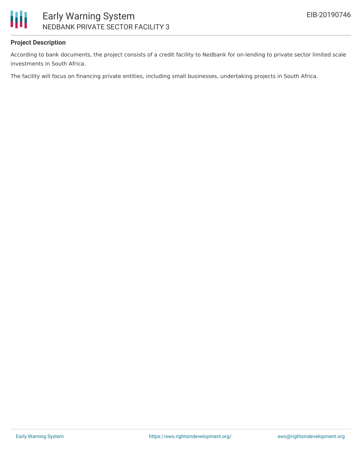

# **Project Description**

According to bank documents, the project consists of a credit facility to Nedbank for on-lending to private sector limited scale investments in South Africa.

The facility will focus on financing private entities, including small businesses, undertaking projects in South Africa.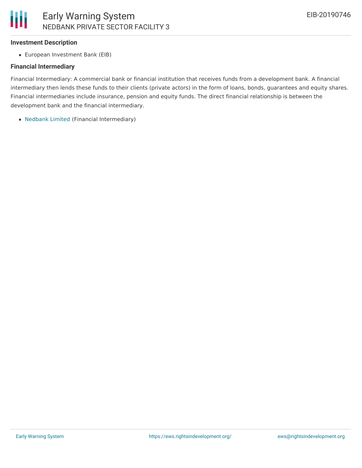### **Investment Description**

European Investment Bank (EIB)

#### **Financial Intermediary**

Financial Intermediary: A commercial bank or financial institution that receives funds from a development bank. A financial intermediary then lends these funds to their clients (private actors) in the form of loans, bonds, guarantees and equity shares. Financial intermediaries include insurance, pension and equity funds. The direct financial relationship is between the development bank and the financial intermediary.

[Nedbank](file:///actor/226/) Limited (Financial Intermediary)